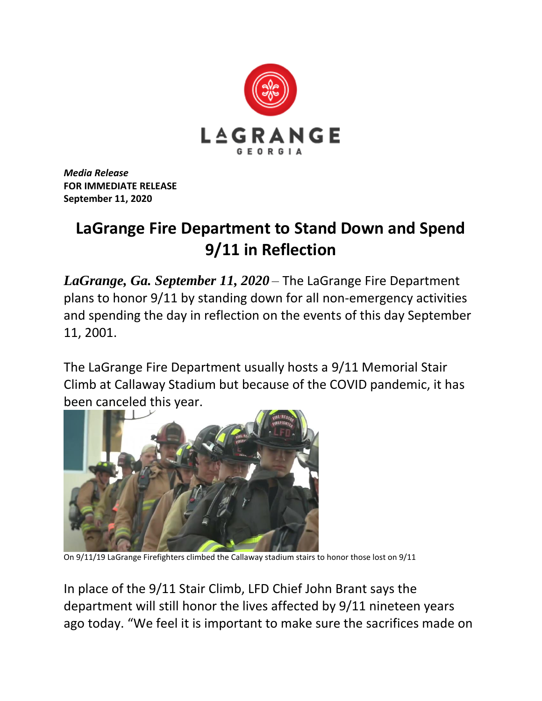

*Media Release* **FOR IMMEDIATE RELEASE September 11, 2020**

## **LaGrange Fire Department to Stand Down and Spend 9/11 in Reflection**

*LaGrange, Ga. September 11, 2020* – The LaGrange Fire Department plans to honor 9/11 by standing down for all non-emergency activities and spending the day in reflection on the events of this day September 11, 2001.

The LaGrange Fire Department usually hosts a 9/11 Memorial Stair Climb at Callaway Stadium but because of the COVID pandemic, it has been canceled this year.



On 9/11/19 LaGrange Firefighters climbed the Callaway stadium stairs to honor those lost on 9/11

In place of the 9/11 Stair Climb, LFD Chief John Brant says the department will still honor the lives affected by 9/11 nineteen years ago today. "We feel it is important to make sure the sacrifices made on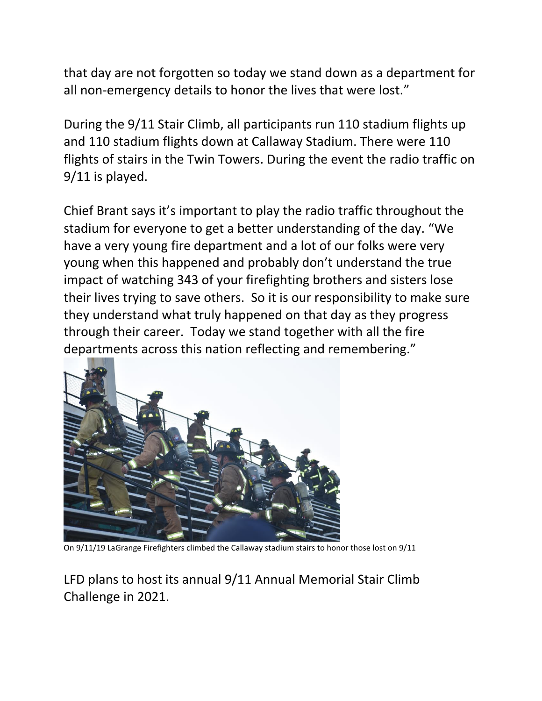that day are not forgotten so today we stand down as a department for all non-emergency details to honor the lives that were lost."

During the 9/11 Stair Climb, all participants run 110 stadium flights up and 110 stadium flights down at Callaway Stadium. There were 110 flights of stairs in the Twin Towers. During the event the radio traffic on 9/11 is played.

Chief Brant says it's important to play the radio traffic throughout the stadium for everyone to get a better understanding of the day. "We have a very young fire department and a lot of our folks were very young when this happened and probably don't understand the true impact of watching 343 of your firefighting brothers and sisters lose their lives trying to save others. So it is our responsibility to make sure they understand what truly happened on that day as they progress through their career. Today we stand together with all the fire departments across this nation reflecting and remembering."



On 9/11/19 LaGrange Firefighters climbed the Callaway stadium stairs to honor those lost on 9/11

LFD plans to host its annual 9/11 Annual Memorial Stair Climb Challenge in 2021.